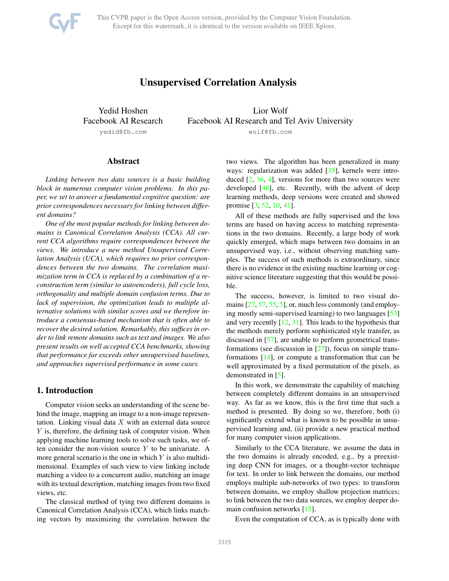<span id="page-0-0"></span>

# Unsupervised Correlation Analysis

Yedid Hoshen Facebook AI Research yedid@fb.com

Lior Wolf Facebook AI Research and Tel Aviv University wolf@fb.com

# Abstract

*Linking between two data sources is a basic building block in numerous computer vision problems. In this paper, we set to answer a fundamental cognitive question: are prior correspondences necessary for linking between different domains?*

*One of the most popular methods for linking between domains is Canonical Correlation Analysis (CCA). All current CCA algorithms require correspondences between the views. We introduce a new method Unsupervised Correlation Analysis (UCA), which requires no prior correspondences between the two domains. The correlation maximization term in CCA is replaced by a combination of a reconstruction term (similar to autoencoders), full cycle loss, orthogonality and multiple domain confusion terms. Due to lack of supervision, the optimization leads to multiple alternative solutions with similar scores and we therefore introduce a consensus-based mechanism that is often able to recover the desired solution. Remarkably, this suffices in order to link remote domains such as text and images. We also present results on well accepted CCA benchmarks, showing that performance far exceeds other unsupervised baselines, and approaches supervised performance in some cases.*

# 1. Introduction

Computer vision seeks an understanding of the scene behind the image, mapping an image to a non-image representation. Linking visual data  $X$  with an external data source Y is, therefore, the defining task of computer vision. When applying machine learning tools to solve such tasks, we often consider the non-vision source  $Y$  to be univariate. A more general scenario is the one in which  $Y$  is also multidimensional. Examples of such view to view linking include matching a video to a concurrent audio, matching an image with its textual description, matching images from two fixed views, etc.

The classical method of tying two different domains is Canonical Correlation Analysis (CCA), which links matching vectors by maximizing the correlation between the two views. The algorithm has been generalized in many ways: regularization was added [\[35\]](#page-9-0), kernels were introduced  $[2, 36, 4]$  $[2, 36, 4]$  $[2, 36, 4]$  $[2, 36, 4]$ , versions for more than two sources were developed [\[46\]](#page-9-2), etc. Recently, with the advent of deep learning methods, deep versions were created and showed promise [\[3,](#page-8-2) [52,](#page-9-3) [10,](#page-8-3) [41\]](#page-9-4).

All of these methods are fully supervised and the loss terms are based on having access to matching representations in the two domains. Recently, a large body of work quickly emerged, which maps between two domains in an unsupervised way, i.e., without observing matching samples. The success of such methods is extraordinary, since there is no evidence in the existing machine learning or cognitive science literature suggesting that this would be possible.

The success, however, is limited to two visual domains [\[27,](#page-8-4) [57,](#page-9-5) [55,](#page-9-6) [5\]](#page-8-5), or, much less commonly (and employing mostly semi-supervised learning) to two languages [\[53\]](#page-9-7) and very recently [\[12,](#page-8-6) [31\]](#page-9-8). This leads to the hypothesis that the methods merely perform sophisticated style transfer, as discussed in [\[57\]](#page-9-5), are unable to perform geometrical transformations (see discussion in [\[27\]](#page-8-4)), focus on simple transformations [\[14\]](#page-8-7), or compute a transformation that can be well approximated by a fixed permutation of the pixels, as demonstrated in [\[5\]](#page-8-5).

In this work, we demonstrate the capability of matching between completely different domains in an unsupervised way. As far as we know, this is the first time that such a method is presented. By doing so we, therefore, both (i) significantly extend what is known to be possible in unsupervised learning and, (ii) provide a new practical method for many computer vision applications.

Similarly to the CCA literature, we assume the data in the two domains is already encoded, e.g., by a preexisting deep CNN for images, or a thought-vector technique for text. In order to link between the domains, our method employs multiple sub-networks of two types: to transform between domains, we employ shallow projection matrices; to link between the two data sources, we employ deeper domain confusion networks [\[15\]](#page-8-8).

Even the computation of CCA, as is typically done with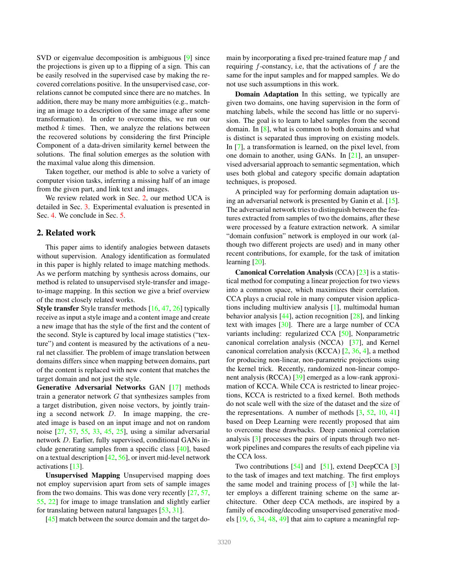<span id="page-1-1"></span>SVD or eigenvalue decomposition is ambiguous [\[9\]](#page-8-9) since the projections is given up to a flipping of a sign. This can be easily resolved in the supervised case by making the recovered correlations positive. In the unsupervised case, correlations cannot be computed since there are no matches. In addition, there may be many more ambiguities (e.g., matching an image to a description of the same image after some transformation). In order to overcome this, we run our method  $k$  times. Then, we analyze the relations between the recovered solutions by considering the first Principle Component of a data-driven similarity kernel between the solutions. The final solution emerges as the solution with the maximal value along this dimension.

Taken together, our method is able to solve a variety of computer vision tasks, inferring a missing half of an image from the given part, and link text and images.

We review related work in Sec. [2,](#page-1-0) our method UCA is detailed in Sec. [3.](#page-2-0) Experimental evaluation is presented in Sec. [4.](#page-4-0) We conclude in Sec. [5.](#page-7-0)

### <span id="page-1-0"></span>2. Related work

This paper aims to identify analogies between datasets without supervision. Analogy identification as formulated in this paper is highly related to image matching methods. As we perform matching by synthesis across domains, our method is related to unsupervised style-transfer and imageto-image mapping. In this section we give a brief overview of the most closely related works.

Style transfer Style transfer methods [\[16,](#page-8-10) [47,](#page-9-9) [26\]](#page-8-11) typically receive as input a style image and a content image and create a new image that has the style of the first and the content of the second. Style is captured by local image statistics ("texture") and content is measured by the activations of a neural net classifier. The problem of image translation between domains differs since when mapping between domains, part of the content is replaced with new content that matches the target domain and not just the style.

Generative Adversarial Networks GAN [\[17\]](#page-8-12) methods train a generator network  $G$  that synthesizes samples from a target distribution, given noise vectors, by jointly training a second network  $D$ . In image mapping, the created image is based on an input image and not on random noise [\[27,](#page-8-4) [57,](#page-9-5) [55,](#page-9-6) [33,](#page-9-10) [45,](#page-9-11) [25\]](#page-8-13), using a similar adversarial network D. Earlier, fully supervised, conditional GANs include generating samples from a specific class [\[40\]](#page-9-12), based on a textual description [\[42,](#page-9-13) [56\]](#page-9-14), or invert mid-level network activations [\[13\]](#page-8-14).

Unsupervised Mapping Unsupervised mapping does not employ supervision apart from sets of sample images from the two domains. This was done very recently [\[27,](#page-8-4) [57,](#page-9-5) [55,](#page-9-6) [22\]](#page-8-15) for image to image translation and slightly earlier for translating between natural languages [\[53,](#page-9-7) [31\]](#page-9-8).

[\[45\]](#page-9-11) match between the source domain and the target do-

main by incorporating a fixed pre-trained feature map f and requiring  $f$ -constancy, i.e, that the activations of  $f$  are the same for the input samples and for mapped samples. We do not use such assumptions in this work.

Domain Adaptation In this setting, we typically are given two domains, one having supervision in the form of matching labels, while the second has little or no supervision. The goal is to learn to label samples from the second domain. In  $[8]$ , what is common to both domains and what is distinct is separated thus improving on existing models. In [\[7\]](#page-8-17), a transformation is learned, on the pixel level, from one domain to another, using GANs. In [\[21\]](#page-8-18), an unsupervised adversarial approach to semantic segmentation, which uses both global and category specific domain adaptation techniques, is proposed.

A principled way for performing domain adaptation using an adversarial network is presented by Ganin et al. [\[15\]](#page-8-8). The adversarial network tries to distinguish between the features extracted from samples of two the domains, after these were processed by a feature extraction network. A similar "domain confusion" network is employed in our work (although two different projects are used) and in many other recent contributions, for example, for the task of imitation learning [\[20\]](#page-8-19).

**Canonical Correlation Analysis** (CCA)  $[23]$  is a statistical method for computing a linear projection for two views into a common space, which maximizes their correlation. CCA plays a crucial role in many computer vision applications including multiview analysis [\[1\]](#page-8-21), multimodal human behavior analysis [\[44\]](#page-9-15), action recognition [\[28\]](#page-8-22), and linking text with images [\[30\]](#page-9-16). There are a large number of CCA variants including: regularized CCA [\[50\]](#page-9-17), Nonparametric canonical correlation analysis (NCCA) [\[37\]](#page-9-18), and Kernel canonical correlation analysis (KCCA) [\[2,](#page-8-0) [36,](#page-9-1) [4\]](#page-8-1), a method for producing non-linear, non-parametric projections using the kernel trick. Recently, randomized non-linear component analysis (RCCA) [\[39\]](#page-9-19) emerged as a low-rank approximation of KCCA. While CCA is restricted to linear projections, KCCA is restricted to a fixed kernel. Both methods do not scale well with the size of the dataset and the size of the representations. A number of methods [\[3,](#page-8-2) [52,](#page-9-3) [10,](#page-8-3) [41\]](#page-9-4) based on Deep Learning were recently proposed that aim to overcome these drawbacks. Deep canonical correlation analysis [\[3\]](#page-8-2) processes the pairs of inputs through two network pipelines and compares the results of each pipeline via the CCA loss.

Two contributions  $[54]$  and  $[51]$ , extend DeepCCA  $[3]$ to the task of images and text matching. The first employs the same model and training process of [\[3\]](#page-8-2) while the latter employs a different training scheme on the same architecture. Other deep CCA methods, are inspired by a family of encoding/decoding unsupervised generative models [\[19,](#page-8-23) [6,](#page-8-24) [34,](#page-9-22) [48,](#page-9-23) [49\]](#page-9-24) that aim to capture a meaningful rep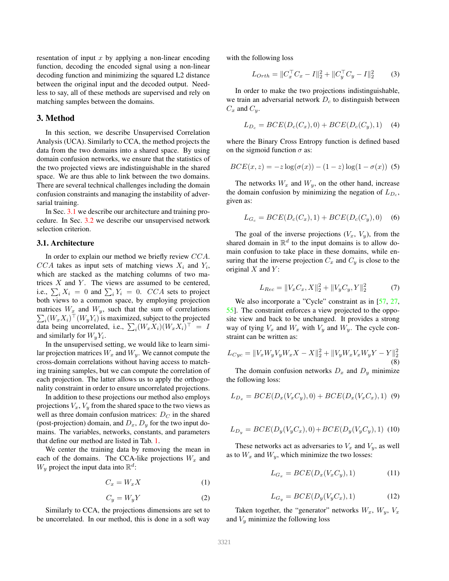<span id="page-2-5"></span>resentation of input  $x$  by applying a non-linear encoding function, decoding the encoded signal using a non-linear decoding function and minimizing the squared L2 distance between the original input and the decoded output. Needless to say, all of these methods are supervised and rely on matching samples between the domains.

#### <span id="page-2-0"></span>3. Method

In this section, we describe Unsupervised Correlation Analysis (UCA). Similarly to CCA, the method projects the data from the two domains into a shared space. By using domain confusion networks, we ensure that the statistics of the two projected views are indistinguishable in the shared space. We are thus able to link between the two domains. There are several technical challenges including the domain confusion constraints and managing the instability of adversarial training.

In Sec. [3.1](#page-2-1) we describe our architecture and training procedure. In Sec. [3.2](#page-4-1) we describe our unsupervised network selection criterion.

#### <span id="page-2-1"></span>3.1. Architecture

In order to explain our method we briefly review CCA.  $CCA$  takes as input sets of matching views  $X_i$  and  $Y_i$ , which are stacked as the matching columns of two matrices  $X$  and  $Y$ . The views are assumed to be centered, i.e.,  $\sum_i X_i = 0$  and  $\sum_i Y_i = 0$ . *CCA* sets to project both views to a common space, by employing projection matrices  $W_x$  and  $W_y$ , such that the sum of correlations  $\sum_i (W_x X_i)^{\top} (W_y Y_i)$  is maximized, subject to the projected data being uncorrelated, i.e.,  $\sum_i (W_x X_i)(W_x X_i)^\top = I$ and similarly for  $W_y Y_i$ .

In the unsupervised setting, we would like to learn similar projection matrices  $W_x$  and  $W_y$ . We cannot compute the cross-domain correlations without having access to matching training samples, but we can compute the correlation of each projection. The latter allows us to apply the orthogonality constraint in order to ensure uncorrelated projections.

In addition to these projections our method also employs projections  $V_x$ ,  $V_y$  from the shared space to the two views as well as three domain confusion matrices:  $D<sub>C</sub>$  in the shared (post-projection) domain, and  $D_x$ ,  $D_y$  for the two input domains. The variables, networks, constants, and parameters that define our method are listed in Tab. [1.](#page-3-0)

We center the training data by removing the mean in each of the domains. The CCA-like projections  $W_x$  and  $W_y$  project the input data into  $\mathbb{R}^d$ :

$$
C_x = W_x X \tag{1}
$$

$$
C_y = W_y Y \tag{2}
$$

Similarly to CCA, the projections dimensions are set to be uncorrelated. In our method, this is done in a soft way with the following loss

$$
L_{Orth} = ||C_x^\top C_x - I||_2^2 + ||C_y^\top C_y - I||_2^2 \tag{3}
$$

In order to make the two projections indistinguishable, we train an adversarial network  $D<sub>c</sub>$  to distinguish between  $C_x$  and  $C_y$ .

<span id="page-2-2"></span>
$$
L_{D_c} = BCE(D_c(C_x), 0) + BCE(D_c(C_y), 1) \quad (4)
$$

where the Binary Cross Entropy function is defined based on the sigmoid function  $\sigma$  as:

$$
BCE(x, z) = -z \log(\sigma(x)) - (1 - z) \log(1 - \sigma(x)) \tag{5}
$$

The networks  $W_x$  and  $W_y$ , on the other hand, increase the domain confusion by minimizing the negation of  $L_{D_c}$ , given as:

$$
L_{G_c} = BCE(D_c(C_x), 1) + BCE(D_c(C_y), 0) \quad (6)
$$

The goal of the inverse projections  $(V_x, V_y)$ , from the shared domain in  $\mathbb{R}^d$  to the input domains is to allow domain confusion to take place in these domains, while ensuring that the inverse projection  $C_x$  and  $C_y$  is close to the original  $X$  and  $Y$ :

$$
L_{Rec} = ||V_x C_x, X||_2^2 + ||V_y C_y, Y||_2^2 \tag{7}
$$

We also incorporate a "Cycle" constraint as in [\[57,](#page-9-5) [27,](#page-8-4) [55\]](#page-9-6). The constraint enforces a view projected to the opposite view and back to be unchanged. It provides a strong way of tying  $V_x$  and  $W_x$  with  $V_y$  and  $W_y$ . The cycle constraint can be written as:

$$
L_{Cyc} = ||V_x W_y V_y W_x X - X||_2^2 + ||V_y W_x V_x W_y Y - Y||_2^2
$$
\n(8)

The domain confusion networks  $D_x$  and  $D_y$  minimize the following loss:

<span id="page-2-3"></span>
$$
L_{D_x} = BCE(D_x(V_xC_y), 0) + BCE(D_x(V_xC_x), 1) \tag{9}
$$

<span id="page-2-4"></span>
$$
L_{D_y} = BCE(D_y(V_yC_x), 0) + BCE(D_y(V_yC_y), 1) \tag{10}
$$

These networks act as adversaries to  $V_x$  and  $V_y$ , as well as to  $W_x$  and  $W_y$ , which minimize the two losses:

$$
L_{G_x} = BCE(D_x(V_xC_y), 1) \tag{11}
$$

$$
L_{G_y} = BCE(D_y(V_yC_x), 1) \tag{12}
$$

Taken together, the "generator" networks  $W_x$ ,  $W_y$ ,  $V_x$ and  $V_y$  minimize the following loss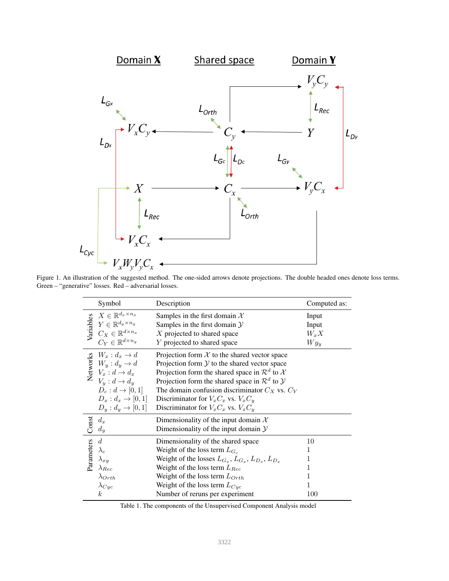

Figure 1. An illustration of the suggested method. The one-sided arrows denote projections. The double headed ones denote loss terms. Green – "generative" losses. Red – adversarial losses.

|            | Symbol                                                                                                                                                                             | Description                                                                                                                                                                                                                                                                                                                                                                     | Computed as:                       |
|------------|------------------------------------------------------------------------------------------------------------------------------------------------------------------------------------|---------------------------------------------------------------------------------------------------------------------------------------------------------------------------------------------------------------------------------------------------------------------------------------------------------------------------------------------------------------------------------|------------------------------------|
| Variables  | $X \in \mathbb{R}^{d_x \times n_x}$<br>$Y \in \mathbb{R}^{d_y \times n_y}$<br>$C_X \in \mathbb{R}^{d \times n_x}$<br>$C_V \in \mathbb{R}^{d \times n_y}$                           | Samples in the first domain $X$<br>Samples in the first domain $\mathcal Y$<br>X projected to shared space<br>Y projected to shared space                                                                                                                                                                                                                                       | Input<br>Input<br>$W_xX$<br>$Wy_y$ |
| Networks   | $W_x: d_x \to d$<br>$W_y: d_y \to d$<br>$V_x: d \to d_x$<br>$V_u: d \rightarrow d_u$<br>$D_c: d \rightarrow [0,1]$<br>$D_x: d_x \rightarrow [0,1]$<br>$D_y: d_y \rightarrow [0,1]$ | Projection form $X$ to the shared vector space<br>Projection form $Y$ to the shared vector space<br>Projection form the shared space in $\mathcal{R}^d$ to X<br>Projection form the shared space in $\mathcal{R}^d$ to $\mathcal Y$<br>The domain confusion discriminator $C_X$ vs. $C_Y$<br>Discriminator for $V_xC_x$ vs. $V_xC_y$<br>Discriminator for $V_xC_x$ vs. $V_xC_y$ |                                    |
| Const      | $d_x$<br>$d_y$                                                                                                                                                                     | Dimensionality of the input domain $X$<br>Dimensionality of the input domain $\mathcal Y$                                                                                                                                                                                                                                                                                       |                                    |
| Parameters | $d_{i}$<br>$\lambda_c$<br>$\lambda_{xy}$<br>$\lambda_{Rec}$<br>$\lambda_{Orth}$<br>$\lambda_{Cyc}$<br>$\boldsymbol{k}$                                                             | Dimensionality of the shared space<br>Weight of the loss term $L_{G_c}$<br>Weight of the losses $L_{G_x}, L_{G_x}, L_{D_x}, L_{D_x}$<br>Weight of the loss term $L_{Rec}$<br>Weight of the loss term $L_{Orth}$<br>Weight of the loss term $L_{Cyc}$<br>Number of reruns per experiment                                                                                         | 10<br>1<br>100                     |

<span id="page-3-0"></span>Table 1. The components of the Unsupervised Component Analysis model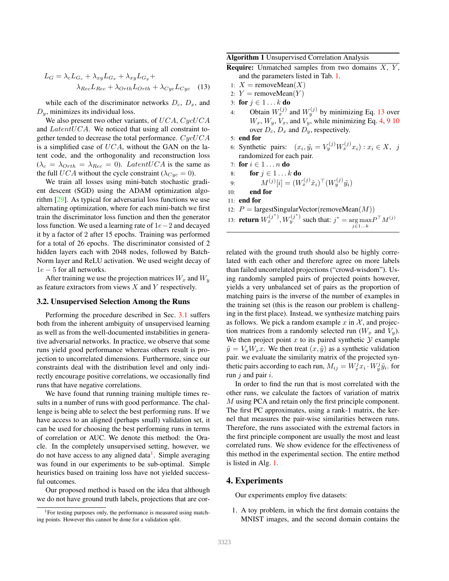<span id="page-4-5"></span>
$$
L_G = \lambda_c L_{G_c} + \lambda_{xy} L_{G_x} + \lambda_{xy} L_{G_y} +
$$

$$
\lambda_{Rec} L_{Rec} + \lambda_{Orth} L_{Orth} + \lambda_{Cyc} L_{Cyc}
$$
 (13)

while each of the discriminator networks  $D_c$ ,  $D_x$ , and  $D<sub>u</sub>$ , minimizes its individual loss.

We also present two other variants, of  $UCA$ ,  $CycUCA$ and LatentUCA. We noticed that using all constraint together tended to decrease the total performance.  $CycUCA$ is a simplified case of  $UCA$ , without the GAN on the latent code, and the orthogonality and reconstruction loss  $(\lambda_c = \lambda_{Orth} = \lambda_{Rec} = 0)$ . LatentUCA is the same as the full UCA without the cycle constraint ( $\lambda_{Cyc} = 0$ ).

We train all losses using mini-batch stochastic gradient descent (SGD) using the ADAM optimization algorithm [\[29\]](#page-9-25). As typical for adversarial loss functions we use alternating optimization, where for each mini-batch we first train the discriminator loss function and then the generator loss function. We used a learning rate of 1e−2 and decayed it by a factor of 2 after 15 epochs. Training was performed for a total of 26 epochs. The discriminator consisted of 2 hidden layers each with 2048 nodes, followed by Batch-Norm layer and ReLU activation. We used weight decay of  $1e - 5$  for all networks.

After training we use the projection matrices  $W_x$  and  $W_y$ as feature extractors from views  $X$  and  $Y$  respectively.

#### <span id="page-4-1"></span>3.2. Unsupervised Selection Among the Runs

Performing the procedure described in Sec. [3.1](#page-2-1) suffers both from the inherent ambiguity of unsupervised learning as well as from the well-documented instabilities in generative adversarial networks. In practice, we observe that some runs yield good performance whereas others result is projection to uncorrelated dimensions. Furthermore, since our constraints deal with the distribution level and only indirectly encourage positive correlations, we occasionally find runs that have negative correlations.

We have found that running training multiple times results in a number of runs with good performance. The challenge is being able to select the best performing runs. If we have access to an aligned (perhaps small) validation set, it can be used for choosing the best performing runs in terms of correlation or AUC. We denote this method: the Oracle. In the completely unsupervised setting, however, we do not have access to any aligned data<sup>[1](#page-4-2)</sup>. Simple averaging was found in our experiments to be sub-optimal. Simple heuristics based on training loss have not yielded successful outcomes.

Our proposed method is based on the idea that although we do not have ground truth labels, projections that are cor<span id="page-4-4"></span>Algorithm 1 Unsupervised Correlation Analysis

- <span id="page-4-3"></span>**Require:** Unmatched samples from two domains  $X$ ,  $Y$ , and the parameters listed in Tab. [1.](#page-3-0)
- 1:  $X = \text{removeMean}(X)$
- 2:  $Y = \text{removeMean}(Y)$
- 3: for  $j \in 1...k$  do
- 4: Obtain  $W_x^{(j)}$  and  $W_y^{(j)}$  by minimizing Eq. [13](#page-4-3) over  $W_x$ ,  $W_y$ ,  $V_x$ , and  $V_y$ , while minimizing Eq. [4,](#page-2-2) [9](#page-2-3) [10](#page-2-4) over  $D_c$ ,  $D_x$  and  $D_y$ , respectively.
- 5: end for
- 6: Synthetic pairs:  $(x_i, \tilde{y}_i = V_y^{(j)} W_x^{(j)} x_i) : x_i \in X, j$ randomized for each pair.
- 7: for  $i \in 1 \ldots n$  do
- 8: **for**  $j \in 1...k$  **do**

9: 
$$
M^{(j)}[i] = (W_x^{(j)} \hat{x}_i)^\top (W_y^{(j)} \tilde{y}_i)
$$

- 10: end for
- 11: end for
- 12:  $P = \text{largestSingularVector}(removeMean(M))$
- 13: **return**  $W_x^{(j^*)}$ ,  $W_y^{(j^*)}$  such that:  $j^* = \arg \max P^\top M^{(j)}$  $j \in 1...k$

related with the ground truth should also be highly correlated with each other and therefore agree on more labels than failed uncorrelated projections ("crowd-wisdom"). Using randomly sampled pairs of projected points however, yields a very unbalanced set of pairs as the proportion of matching pairs is the inverse of the number of examples in the training set (this is the reason our problem is challenging in the first place). Instead, we synthesize matching pairs as follows. We pick a random example  $x$  in  $\mathcal{X}$ , and projection matrices from a randomly selected run  $(W_x$  and  $V_y$ ). We then project point  $x$  to its paired synthetic  $Y$  example  $\tilde{y} = V_u W_x x$ . We then treat  $(x, \tilde{y})$  as a synthetic validation pair. we evaluate the similarity matrix of the projected synthetic pairs according to each run,  $M_{ij} = W_x^j x_i \cdot W_y^j \tilde{y}_i$ . for run  $j$  and pair  $i$ .

In order to find the run that is most correlated with the other runs, we calculate the factors of variation of matrix M using PCA and retain only the first principle component. The first PC approximates, using a rank-1 matrix, the kernel that measures the pair-wise similarities between runs. Therefore, the runs associated with the extremal factors in the first principle component are usually the most and least correlated runs. We show evidence for the effectiveness of this method in the experimental section. The entire method is listed in Alg. [1.](#page-4-4)

# <span id="page-4-0"></span>4. Experiments

Our experiments employ five datasets:

1. A toy problem, in which the first domain contains the MNIST images, and the second domain contains the

<span id="page-4-2"></span><sup>&</sup>lt;sup>1</sup>For testing purposes only, the performance is measured using matching points. However this cannot be done for a validation split.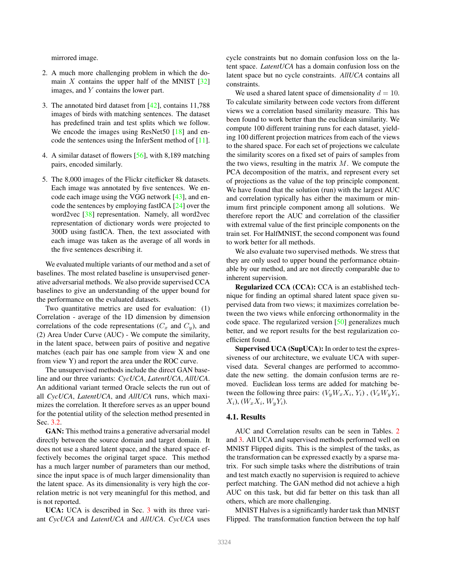<span id="page-5-0"></span>mirrored image.

- 2. A much more challenging problem in which the domain X contains the upper half of the MNIST  $[32]$ images, and Y contains the lower part.
- 3. The annotated bird dataset from [\[42\]](#page-9-13), contains 11,788 images of birds with matching sentences. The dataset has predefined train and test splits which we follow. We encode the images using ResNet50 [\[18\]](#page-8-25) and en-code the sentences using the InferSent method of [\[11\]](#page-8-26).
- 4. A similar dataset of flowers [\[56\]](#page-9-14), with 8,189 matching pairs, encoded similarly.
- 5. The 8,000 images of the Flickr citeflicker 8k datasets. Each image was annotated by five sentences. We encode each image using the VGG network [\[43\]](#page-9-27), and encode the sentences by employing fastICA [\[24\]](#page-8-27) over the word2vec [\[38\]](#page-9-28) representation. Namely, all word2vec representation of dictionary words were projected to 300D using fastICA. Then, the text associated with each image was taken as the average of all words in the five sentences describing it.

We evaluated multiple variants of our method and a set of baselines. The most related baseline is unsupervised generative adversarial methods. We also provide supervised CCA baselines to give an understanding of the upper bound for the performance on the evaluated datasets.

Two quantitative metrics are used for evaluation: (1) Correlation - average of the 1D dimension by dimension correlations of the code representations  $(C_x \text{ and } C_y)$ , and (2) Area Under Curve (AUC) - We compute the similarity, in the latent space, between pairs of positive and negative matches (each pair has one sample from view X and one from view Y) and report the area under the ROC curve.

The unsupervised methods include the direct GAN baseline and our three variants: *CycUCA*, *LatentUCA*, *AllUCA*. An additional variant termed Oracle selects the run out of all *CycUCA*, *LatentUCA*, and *AllUCA* runs, which maximizes the correlation. It therefore serves as an upper bound for the potential utility of the selection method presented in Sec. [3.2.](#page-4-1)

GAN: This method trains a generative adversarial model directly between the source domain and target domain. It does not use a shared latent space, and the shared space effectively becomes the original target space. This method has a much larger number of parameters than our method, since the input space is of much larger dimensionality than the latent space. As its dimensionality is very high the correlation metric is not very meaningful for this method, and is not reported.

UCA: UCA is described in Sec. [3](#page-2-0) with its three variant *CycUCA* and *LatentUCA* and *AllUCA*. *CycUCA* uses cycle constraints but no domain confusion loss on the latent space. *LatentUCA* has a domain confusion loss on the latent space but no cycle constraints. *AllUCA* contains all constraints.

We used a shared latent space of dimensionality  $d = 10$ . To calculate similarity between code vectors from different views we a correlation based similarity measure. This has been found to work better than the euclidean similarity. We compute 100 different training runs for each dataset, yielding 100 different projection matrices from each of the views to the shared space. For each set of projections we calculate the similarity scores on a fixed set of pairs of samples from the two views, resulting in the matrix  $M$ . We compute the PCA decomposition of the matrix, and represent every set of projections as the value of the top principle component. We have found that the solution (run) with the largest AUC and correlation typically has either the maximum or minimum first principle component among all solutions. We therefore report the AUC and correlation of the classifier with extremal value of the first principle components on the train set. For HalfMNIST, the second component was found to work better for all methods.

We also evaluate two supervised methods. We stress that they are only used to upper bound the performance obtainable by our method, and are not directly comparable due to inherent supervision.

Regularized CCA (CCA): CCA is an established technique for finding an optimal shared latent space given supervised data from two views; it maximizes correlation between the two views while enforcing orthonormality in the code space. The regularized version [\[50\]](#page-9-17) generalizes much better, and we report results for the best regularization coefficient found.

Supervised UCA (SupUCA): In order to test the expressiveness of our architecture, we evaluate UCA with supervised data. Several changes are performed to accommodate the new setting. the domain confusion terms are removed. Euclidean loss terms are added for matching between the following three pairs:  $(V_y W_x X_i, Y_i)$ ,  $(V_x W_y Y_i,$  $X_i$ ,  $(W_x X_i, W_y Y_i)$ .

# 4.1. Results

AUC and Correlation results can be seen in Tables. [2](#page-6-0) and [3.](#page-6-1) All UCA and supervised methods performed well on MNIST Flipped digits. This is the simplest of the tasks, as the transformation can be expressed exactly by a sparse matrix. For such simple tasks where the distributions of train and test match exactly no supervision is required to achieve perfect matching. The GAN method did not achieve a high AUC on this task, but did far better on this task than all others, which are more challenging.

MNIST Halves is a significantly harder task than MNIST Flipped. The transformation function between the top half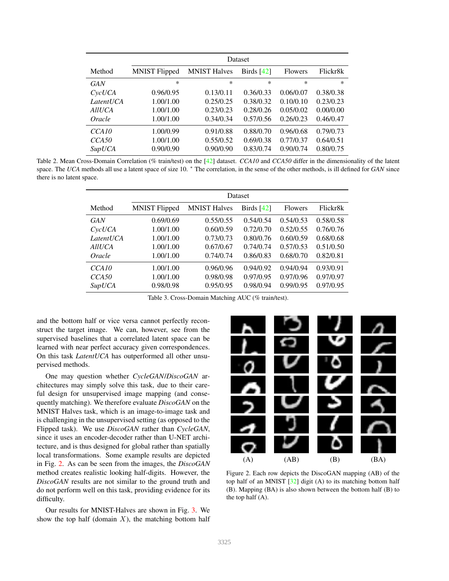<span id="page-6-3"></span>

|                   | Dataset              |                     |              |                |           |  |  |
|-------------------|----------------------|---------------------|--------------|----------------|-----------|--|--|
| Method            | <b>MNIST Flipped</b> | <b>MNIST Halves</b> | Birds $[42]$ | <b>Flowers</b> | Flickr8k  |  |  |
| <b>GAN</b>        | *                    | $\ast$              | $\ast$       | $\ast$         | $\ast$    |  |  |
| CycUCA            | 0.96/0.95            | 0.13/0.11           | 0.36/0.33    | 0.06/0.07      | 0.38/0.38 |  |  |
| LatentUCA         | 1.00/1.00            | 0.25/0.25           | 0.38/0.32    | 0.10/0.10      | 0.23/0.23 |  |  |
| <b>AllUCA</b>     | 1.00/1.00            | 0.23/0.23           | 0.28/0.26    | 0.05/0.02      | 0.00/0.00 |  |  |
| Oracle            | 1.00/1.00            | 0.34/0.34           | 0.57/0.56    | 0.26/0.23      | 0.46/0.47 |  |  |
| CCA10             | 1.00/0.99            | 0.91/0.88           | 0.88/0.70    | 0.96/0.68      | 0.79/0.73 |  |  |
| CCA <sub>50</sub> | 1.00/1.00            | 0.55/0.52           | 0.69/0.38    | 0.77/0.37      | 0.64/0.51 |  |  |
| SupUCA            | 0.90/0.90            | 0.90/0.90           | 0.83/0.74    | 0.90/0.74      | 0.80/0.75 |  |  |

<span id="page-6-0"></span>Table 2. Mean Cross-Domain Correlation (% train/test) on the [\[42\]](#page-9-13) dataset. *CCA10* and *CCA50* differ in the dimensionality of the latent space. The *UCA* methods all use a latent space of size 10. \* The correlation, in the sense of the other methods, is ill defined for *GAN* since there is no latent space.

|               | <b>Dataset</b>       |                     |              |                |           |  |
|---------------|----------------------|---------------------|--------------|----------------|-----------|--|
| Method        | <b>MNIST Flipped</b> | <b>MNIST Halves</b> | Birds $[42]$ | <b>Flowers</b> | Flickr8k  |  |
| <b>GAN</b>    | 0.69/0.69            | 0.55/0.55           | 0.54/0.54    | 0.54/0.53      | 0.58/0.58 |  |
| CycUCA        | 1.00/1.00            | 0.60/0.59           | 0.72/0.70    | 0.52/0.55      | 0.76/0.76 |  |
| LatentUCA     | 1.00/1.00            | 0.73/0.73           | 0.80/0.76    | 0.60/0.59      | 0.68/0.68 |  |
| <i>AllUCA</i> | 1.00/1.00            | 0.67/0.67           | 0.74/0.74    | 0.57/0.53      | 0.51/0.50 |  |
| Oracle        | 1.00/1.00            | 0.74/0.74           | 0.86/0.83    | 0.68/0.70      | 0.82/0.81 |  |
| CCA10         | 1.00/1.00            | 0.96/0.96           | 0.94/0.92    | 0.94/0.94      | 0.93/0.91 |  |
| CCA50         | 1.00/1.00            | 0.98/0.98           | 0.97/0.95    | 0.97/0.96      | 0.97/0.97 |  |
| SupUCA        | 0.98/0.98            | 0.95/0.95           | 0.98/0.94    | 0.99/0.95      | 0.97/0.95 |  |

<span id="page-6-1"></span>Table 3. Cross-Domain Matching AUC (% train/test).

and the bottom half or vice versa cannot perfectly reconstruct the target image. We can, however, see from the supervised baselines that a correlated latent space can be learned with near perfect accuracy given correspondences. On this task *LatentUCA* has outperformed all other unsupervised methods.

One may question whether *CycleGAN*/*DiscoGAN* architectures may simply solve this task, due to their careful design for unsupervised image mapping (and consequently matching). We therefore evaluate *DiscoGAN* on the MNIST Halves task, which is an image-to-image task and is challenging in the unsupervised setting (as opposed to the Flipped task). We use *DiscoGAN* rather than *CycleGAN*, since it uses an encoder-decoder rather than U-NET architecture, and is thus designed for global rather than spatially local transformations. Some example results are depicted in Fig. [2.](#page-6-2) As can be seen from the images, the *DiscoGAN* method creates realistic looking half-digits. However, the *DiscoGAN* results are not similar to the ground truth and do not perform well on this task, providing evidence for its difficulty.

Our results for MNIST-Halves are shown in Fig. [3.](#page-7-1) We show the top half (domain  $X$ ), the matching bottom half



<span id="page-6-2"></span>Figure 2. Each row depicts the DiscoGAN mapping (AB) of the top half of an MNIST  $[32]$  digit (A) to its matching bottom half (B). Mapping (BA) is also shown between the bottom half (B) to the top half  $(A)$ .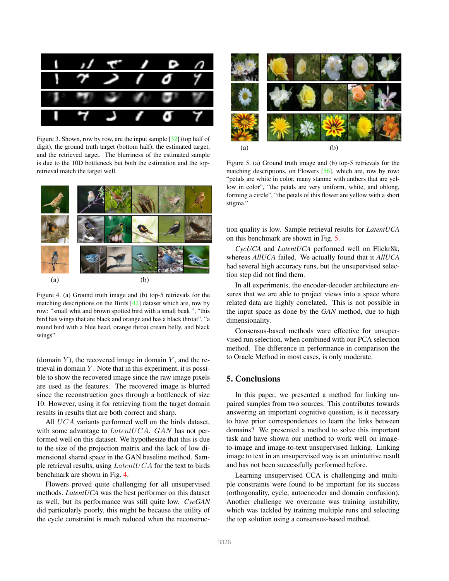<span id="page-7-4"></span>

Figure 3. Shown, row by row, are the input sample [\[32\]](#page-9-26) (top half of digit), the ground truth target (bottom half), the estimated target, and the retrieved target. The blurriness of the estimated sample is due to the 10D bottleneck but both the estimation and the topretrieval match the target well.

<span id="page-7-1"></span>

Figure 4. (a) Ground truth image and (b) top-5 retrievals for the matching descriptions on the Birds [\[42\]](#page-9-13) dataset which are, row by row: "small whit and brown spotted bird with a small beak ", "this bird has wings that are black and orange and has a black throat", "a round bird with a blue head, orange throat cream belly, and black wings"

<span id="page-7-2"></span>(domain  $Y$ ), the recovered image in domain  $Y$ , and the retrieval in domain  $Y$ . Note that in this experiment, it is possible to show the recovered image since the raw image pixels are used as the features. The recovered image is blurred since the reconstruction goes through a bottleneck of size 10. However, using it for retrieving from the target domain results in results that are both correct and sharp.

All UCA variants performed well on the birds dataset, with some advantage to LatentUCA. GAN has not performed well on this dataset. We hypothesize that this is due to the size of the projection matrix and the lack of low dimensional shared space in the GAN baseline method. Sample retrieval results, using  $LatentUCA$  for the text to birds benchmark are shown in Fig. [4.](#page-7-2)

Flowers proved quite challenging for all unsupervised methods. *LatentUCA* was the best performer on this dataset as well, but its performance was still quite low. *CycGAN* did particularly poorly, this might be because the utility of the cycle constraint is much reduced when the reconstruc-



<span id="page-7-3"></span>Figure 5. (a) Ground truth image and (b) top-5 retrievals for the matching descriptions, on Flowers [\[56\]](#page-9-14), which are, row by row: "petals are white in color, many stamne with anthers that are yellow in color", "the petals are very uniform, white, and oblong, forming a circle", "the petals of this flower are yellow with a short stigma."

tion quality is low. Sample retrieval results for *LatentUCA* on this benchmark are shown in Fig. [5.](#page-7-3)

*CycUCA* and *LatentUCA* performed well on Flickr8k, whereas *AllUCA* failed. We actually found that it *AllUCA* had several high accuracy runs, but the unsupervised selection step did not find them.

In all experiments, the encoder-decoder architecture ensures that we are able to project views into a space where related data are highly correlated. This is not possible in the input space as done by the *GAN* method, due to high dimensionality.

Consensus-based methods ware effective for unsupervised run selection, when combined with our PCA selection method. The difference in performance in comparison the to Oracle Method in most cases, is only moderate.

# <span id="page-7-0"></span>5. Conclusions

In this paper, we presented a method for linking unpaired samples from two sources. This contributes towards answering an important cognitive question, is it necessary to have prior correspondences to learn the links between domains? We presented a method to solve this important task and have shown our method to work well on imageto-image and image-to-text unsupervised linking. Linking image to text in an unsupervised way is an unintuitive result and has not been successfully performed before.

Learning unsupervised CCA is challenging and multiple constraints were found to be important for its success (orthogonality, cycle, autoencoder and domain confusion). Another challenge we overcame was training instability, which was tackled by training multiple runs and selecting the top solution using a consensus-based method.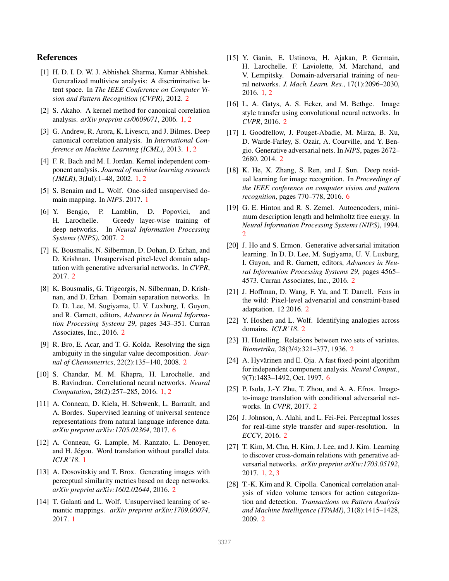# <span id="page-8-21"></span>References

- [1] H. D. I. D. W. J. Abhishek Sharma, Kumar Abhishek. Generalized multiview analysis: A discriminative latent space. In *The IEEE Conference on Computer Vision and Pattern Recognition (CVPR)*, 2012. [2](#page-1-1)
- <span id="page-8-0"></span>[2] S. Akaho. A kernel method for canonical correlation analysis. *arXiv preprint cs/0609071*, 2006. [1,](#page-0-0) [2](#page-1-1)
- <span id="page-8-2"></span>[3] G. Andrew, R. Arora, K. Livescu, and J. Bilmes. Deep canonical correlation analysis. In *International Conference on Machine Learning (ICML)*, 2013. [1,](#page-0-0) [2](#page-1-1)
- <span id="page-8-1"></span>[4] F. R. Bach and M. I. Jordan. Kernel independent component analysis. *Journal of machine learning research (JMLR)*, 3(Jul):1–48, 2002. [1,](#page-0-0) [2](#page-1-1)
- <span id="page-8-5"></span>[5] S. Benaim and L. Wolf. One-sided unsupervised domain mapping. In *NIPS*. 2017. [1](#page-0-0)
- <span id="page-8-24"></span>[6] Y. Bengio, P. Lamblin, D. Popovici, and H. Larochelle. Greedy layer-wise training of deep networks. In *Neural Information Processing Systems (NIPS)*, 2007. [2](#page-1-1)
- <span id="page-8-17"></span>[7] K. Bousmalis, N. Silberman, D. Dohan, D. Erhan, and D. Krishnan. Unsupervised pixel-level domain adaptation with generative adversarial networks. In *CVPR*, 2017. [2](#page-1-1)
- <span id="page-8-16"></span>[8] K. Bousmalis, G. Trigeorgis, N. Silberman, D. Krishnan, and D. Erhan. Domain separation networks. In D. D. Lee, M. Sugiyama, U. V. Luxburg, I. Guyon, and R. Garnett, editors, *Advances in Neural Information Processing Systems 29*, pages 343–351. Curran Associates, Inc., 2016. [2](#page-1-1)
- <span id="page-8-9"></span>[9] R. Bro, E. Acar, and T. G. Kolda. Resolving the sign ambiguity in the singular value decomposition. *Journal of Chemometrics*, 22(2):135–140, 2008. [2](#page-1-1)
- <span id="page-8-3"></span>[10] S. Chandar, M. M. Khapra, H. Larochelle, and B. Ravindran. Correlational neural networks. *Neural Computation*, 28(2):257–285, 2016. [1,](#page-0-0) [2](#page-1-1)
- <span id="page-8-26"></span>[11] A. Conneau, D. Kiela, H. Schwenk, L. Barrault, and A. Bordes. Supervised learning of universal sentence representations from natural language inference data. *arXiv preprint arXiv:1705.02364*, 2017. [6](#page-5-0)
- <span id="page-8-6"></span>[12] A. Conneau, G. Lample, M. Ranzato, L. Denoyer, and H. Jégou. Word translation without parallel data. *ICLR'18*. [1](#page-0-0)
- <span id="page-8-14"></span>[13] A. Dosovitskiy and T. Brox. Generating images with perceptual similarity metrics based on deep networks. *arXiv preprint arXiv:1602.02644*, 2016. [2](#page-1-1)
- <span id="page-8-7"></span>[14] T. Galanti and L. Wolf. Unsupervised learning of semantic mappings. *arXiv preprint arXiv:1709.00074*, 2017. [1](#page-0-0)
- <span id="page-8-8"></span>[15] Y. Ganin, E. Ustinova, H. Ajakan, P. Germain, H. Larochelle, F. Laviolette, M. Marchand, and V. Lempitsky. Domain-adversarial training of neural networks. *J. Mach. Learn. Res.*, 17(1):2096–2030, 2016. [1,](#page-0-0) [2](#page-1-1)
- <span id="page-8-10"></span>[16] L. A. Gatys, A. S. Ecker, and M. Bethge. Image style transfer using convolutional neural networks. In *CVPR*, 2016. [2](#page-1-1)
- <span id="page-8-12"></span>[17] I. Goodfellow, J. Pouget-Abadie, M. Mirza, B. Xu, D. Warde-Farley, S. Ozair, A. Courville, and Y. Bengio. Generative adversarial nets. In *NIPS*, pages 2672– 2680. 2014. [2](#page-1-1)
- <span id="page-8-25"></span>[18] K. He, X. Zhang, S. Ren, and J. Sun. Deep residual learning for image recognition. In *Proceedings of the IEEE conference on computer vision and pattern recognition*, pages 770–778, 2016. [6](#page-5-0)
- <span id="page-8-23"></span>[19] G. E. Hinton and R. S. Zemel. Autoencoders, minimum description length and helmholtz free energy. In *Neural Information Processing Systems (NIPS)*, 1994. [2](#page-1-1)
- <span id="page-8-19"></span>[20] J. Ho and S. Ermon. Generative adversarial imitation learning. In D. D. Lee, M. Sugiyama, U. V. Luxburg, I. Guyon, and R. Garnett, editors, *Advances in Neural Information Processing Systems 29*, pages 4565– 4573. Curran Associates, Inc., 2016. [2](#page-1-1)
- <span id="page-8-18"></span>[21] J. Hoffman, D. Wang, F. Yu, and T. Darrell. Fcns in the wild: Pixel-level adversarial and constraint-based adaptation. 12 2016. [2](#page-1-1)
- <span id="page-8-15"></span>[22] Y. Hoshen and L. Wolf. Identifying analogies across domains. *ICLR'18*. [2](#page-1-1)
- <span id="page-8-20"></span>[23] H. Hotelling. Relations between two sets of variates. *Biometrika*, 28(3/4):321–377, 1936. [2](#page-1-1)
- <span id="page-8-27"></span>[24] A. Hyvärinen and E. Oja. A fast fixed-point algorithm for independent component analysis. *Neural Comput.*, 9(7):1483–1492, Oct. 1997. [6](#page-5-0)
- <span id="page-8-13"></span>[25] P. Isola, J.-Y. Zhu, T. Zhou, and A. A. Efros. Imageto-image translation with conditional adversarial networks. In *CVPR*, 2017. [2](#page-1-1)
- <span id="page-8-11"></span>[26] J. Johnson, A. Alahi, and L. Fei-Fei. Perceptual losses for real-time style transfer and super-resolution. In *ECCV*, 2016. [2](#page-1-1)
- <span id="page-8-4"></span>[27] T. Kim, M. Cha, H. Kim, J. Lee, and J. Kim. Learning to discover cross-domain relations with generative adversarial networks. *arXiv preprint arXiv:1703.05192*, 2017. [1,](#page-0-0) [2,](#page-1-1) [3](#page-2-5)
- <span id="page-8-22"></span>[28] T.-K. Kim and R. Cipolla. Canonical correlation analysis of video volume tensors for action categorization and detection. *Transactions on Pattern Analysis and Machine Intelligence (TPAMI)*, 31(8):1415–1428, 2009. [2](#page-1-1)